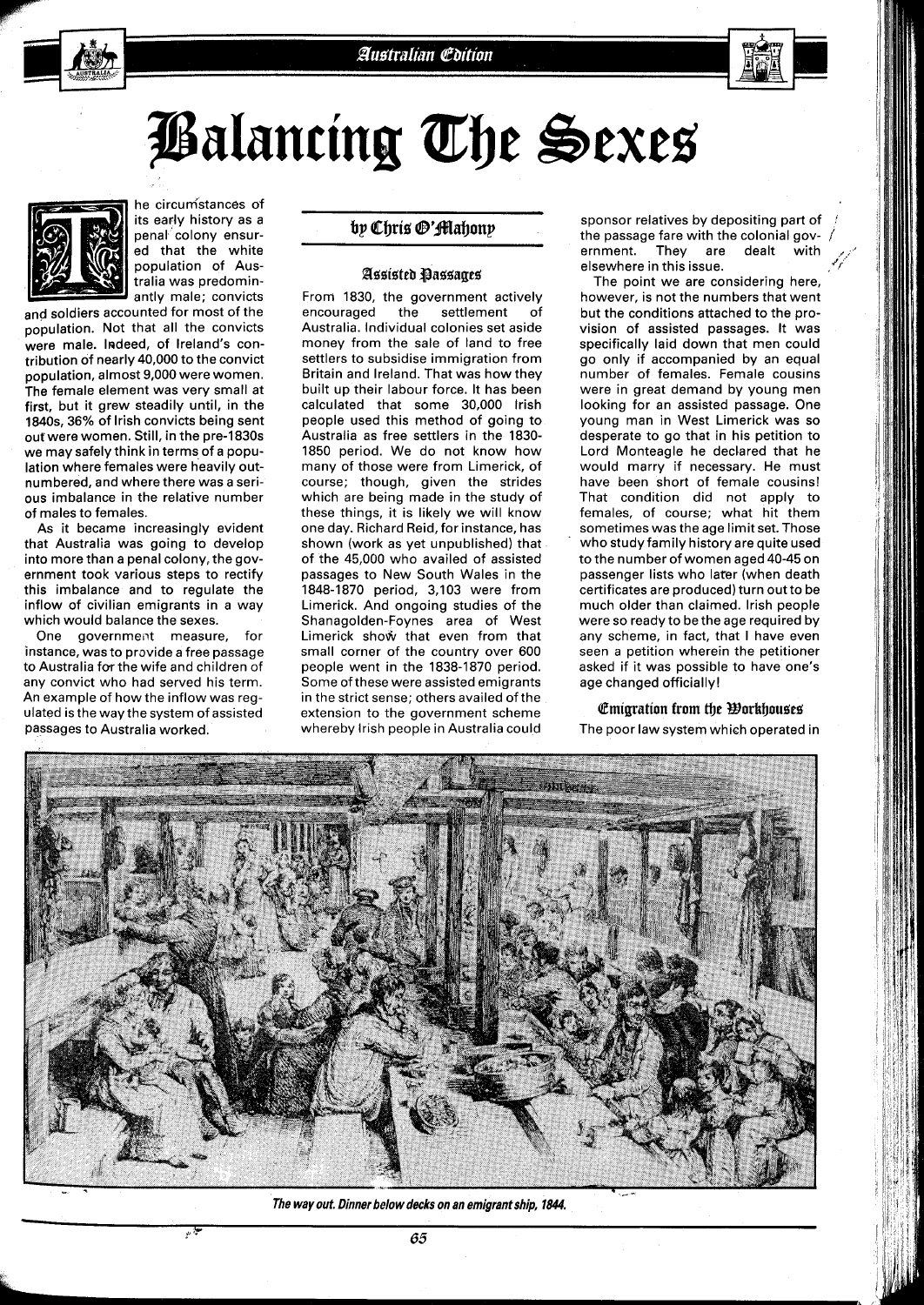# Balancing The Sexes



he circumstances of its early history as a penal colony ensured that the white population of Australia was predominantlv male: convicts

and soldiers accounted for most of the population. Not that all the convicts were male. Indeed, of Ireland's contribution of nearly 40,000 to the convict population, almost 9,000 were women. The female element was very small at first, but it grew steadily until, in the 1840s, 36% of lrish convicts being sent out were women. Still, in the pre-1830s we may safely think in terms of a population where females were heavily outnumbered, and where there was a serious imbalance in the relative number of males to females.

As it became increasingly evident that Australia was going to develop into more than a penal colony, the government took various steps to rectify this imbalance and to regulate the inflow of civilian emigrants in a way which would balance the sexes.

One government measure, for instance, was to provide a free passage to Australia for the wife and children of any convict who had served his term. An example of how the inflow was regulated is the way the system of assisted Passages to Australia worked.

# by Chris @'fflahony

# **Beeieteb @assagerr'**

From 1830, the government actively encouraged the settlement of Australia. Individual colonies set aside money from the sale of land to free settlers to subsidise immigration from Britain and Ireland. That was how they built up their labour force. It has been calculated that some 30,000 lrish people used this method of going to Australia as free settlers in the 1830- 1850 period. We do not know how many of those were from Limerick, of course; though, given the strides which are being made in the study of these things, it is likely we will know one day. Richard Reid, for instance, has shown (work as yet unpublished) that of the 45,000 who availed of assisted passages to New South Wales in the 1848-1870 period, 3,103 were from Limerick. And ongoing studies of the Shanagolden-Foynes area of West Limerick show that even from that small corner of the country over 600 people went in the 1838-1870 period. Some of these were assisted emigrants in the strict sense; others availed of the extension to the government scheme whereby lrish people in Australia could

sponsor relatives by depositing part of the passage fare with the colonial government. They are dealt with  $e$ lsewhere in this issue.

The point we are considering here, however, is not the numbers that went but the conditions attached to the provision of assisted passages. It was specifically laid down that men could go only if accompanied by an equal number of females. Female couslns were in great demand by young men looking for an assisted passage. One young man in West Limerick was so desperate to go that in his petition to Lord Monteagle he declared that he would marry if necessary. He must have been short of female cousins! That condition did not apply to females, of course; what hit them sometimes was the age limit set. Those who study family history are quite used to the number of women aged 40-45 on passenger lists who later (when death certificates are produced) turn out to be much older than claimed. lrish people were so ready to be the age required by any scheme, in fact, that I have even seen a petition wherein the petitioner asked if it was possible to have one's age changed officially!

# **Emigration from the Workhouses**

The poor law system which operated in



The way out. Dinner below decks on an emigrant ship, 1844.

**65**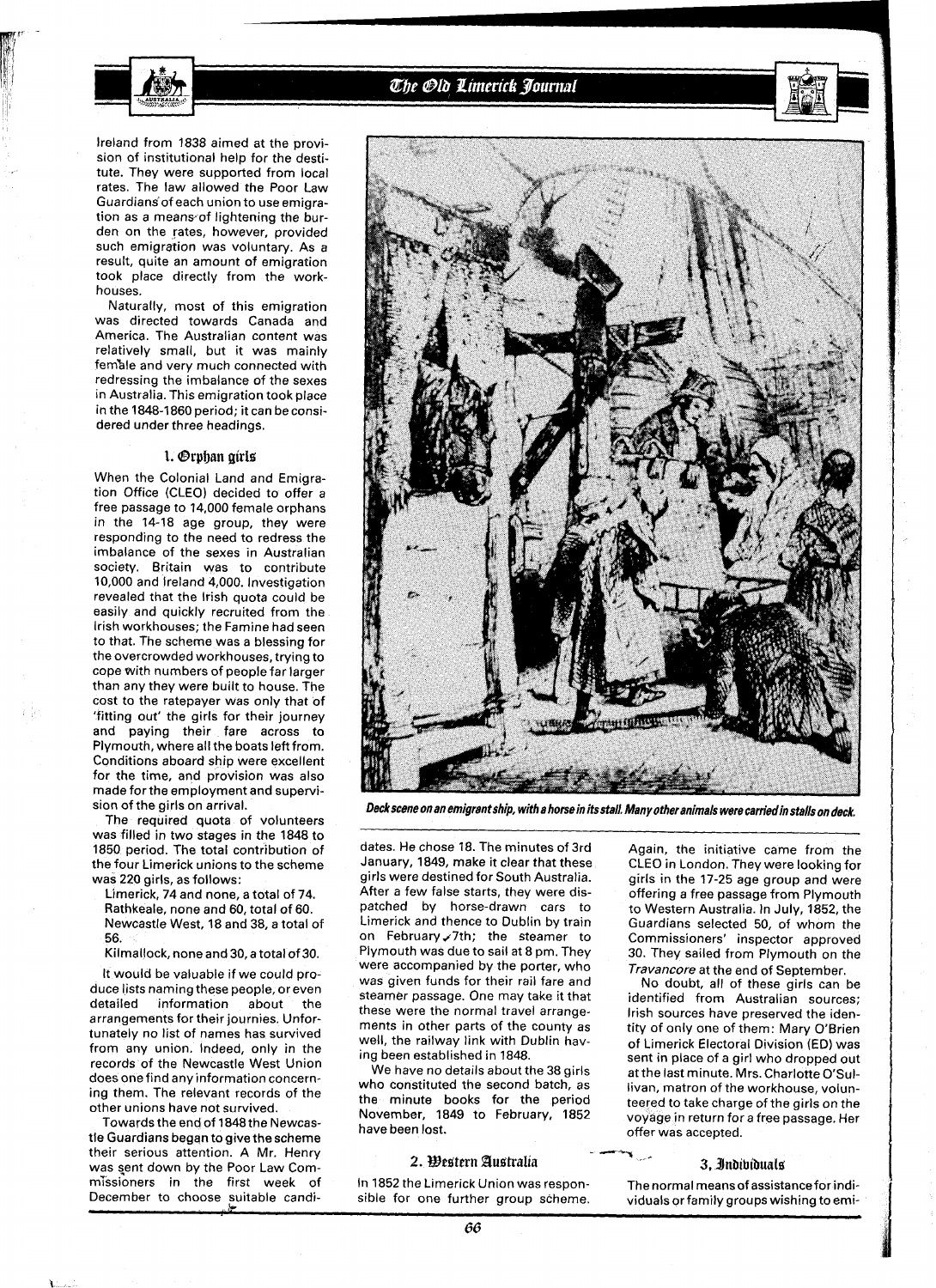

# The Old Limerick Journal

Ireland from **1838** aimed at the provision of institutional help for the destitute. They were supported from local rates. The law allowed the Poor Law Guardians of each union to use emigration as a means of lightening the burden on the rates, however, provided such emigration was voluntary. As a result, quite an amount of emigration took place directly from the workhouses.

Naturally, most of this emigration was directed towards Canada and America. The Australian content was relatively small, but it was mainly fem%le and very much connected with redressing the imbalance of the sexes in Australia. This emigration took place in the **1848-1 860** period; it can be considered under three headings.

# I. **Brpban girls**

When the Colonial Land and Emigration Office (CLEO) decided to offer a free passage to **14,000** female orphans in the **14-18** age group, they were responding to the need to redress the imbalance of the sexes in Australian society. Britain was to contribute **10,000** and Ireland **4,000.** Investigation revealed that the lrish quota could be easily and quickly recruited from the lrish workhouses; the Famine had seen to that. The scheme was a blessing for the overcrowded workhouses, trying to cope with numbers of people far larger than any they were built to house. The cost to the ratepayer was only that of 'fitting out' the girls for their journey and paying their fare across to Plymouth, where all the boats left from. Conditions aboard ship were excellent for the time, and provision was also made for the employment and supervision of the girls on arrival.

The required quota of volunteers was filled in two stages in the **1848** to **1850** period. The total contribution of the four Limerick unions to the scheme was **220** girls, as follows:

Limerick, **74** and none, a total of **74.**  Rathkeale, none and **60,** total of **60.**  Newcastle West, **18** and **38,** a total of **56.** 

Kilmallock, none and **30,** a total of **30.** 

It would be valuable if we could produce lists naming these people, or even detailed information about the arrangements for their journies. Unfortunately no list of names has survived from any union. Indeed, only in the records of the Newcastle West Union does one find any information concerning them. The relevant records of the other unions have not survived.

Towards the end of **l848** the Newcastle Guardians began to give the scheme their serious attention. A Mr. Henry was sent down by the Poor Law Commissioners in the first week of December to choose suitable candi-



**Deckscene on an emigrant ship, with a horse in its stall. Many other animals were carriedin stalls on deck.** 

dates. He chose **18.** The minutes of 3rd January, **1849,** make it clear that these girls were destined for South Australia. After a few false starts, they were dispatched by horse-drawn cars to Limerick and thence to Dublin by train on February 7th; the steamer to Plymouth was due to sail at **8** pm. They were accompanied by the porter, who was given funds for their rail fare and steamer passage. One may take it that these were the normal travel arrangements in other parts of the county as well, the railway link with Dublin having been established in **1848.** 

We have no details about the **38** girls who constituted the second batch, as the minute books for the period November, **1849** to February, **1852**  have been lost.

## 2. Western Australia

In 1852 the Limerick Union was respon-<br>sible for one further group scheme. viduals or family groups wishing to emi-

Again, the initiative came from the CLEO in London. They were looking for girls in the **17-25** age group and were offering a free passage from Plymouth to Western Australia. In July, **1852,** the Guardians selected **50,** of whom the Commissioners' inspector approved **30.** They sailed from Plymouth on the Travancore at the end of September.

No doubt, all of these girls can be identified from Australian sources; lrish sources have preserved the identity of only one of them: Mary O'Brien of Limerick Electoral Division (ED) was sent in place of a girl who dropped out at the last minute. Mrs. Charlotte O'Sullivan, matron of the workhouse, volunteered to take charge of the girls on the voyage in return for a free passage. Her offer was accepted.

#### 3. Indibiduals

viduals or family groups wishing to emi-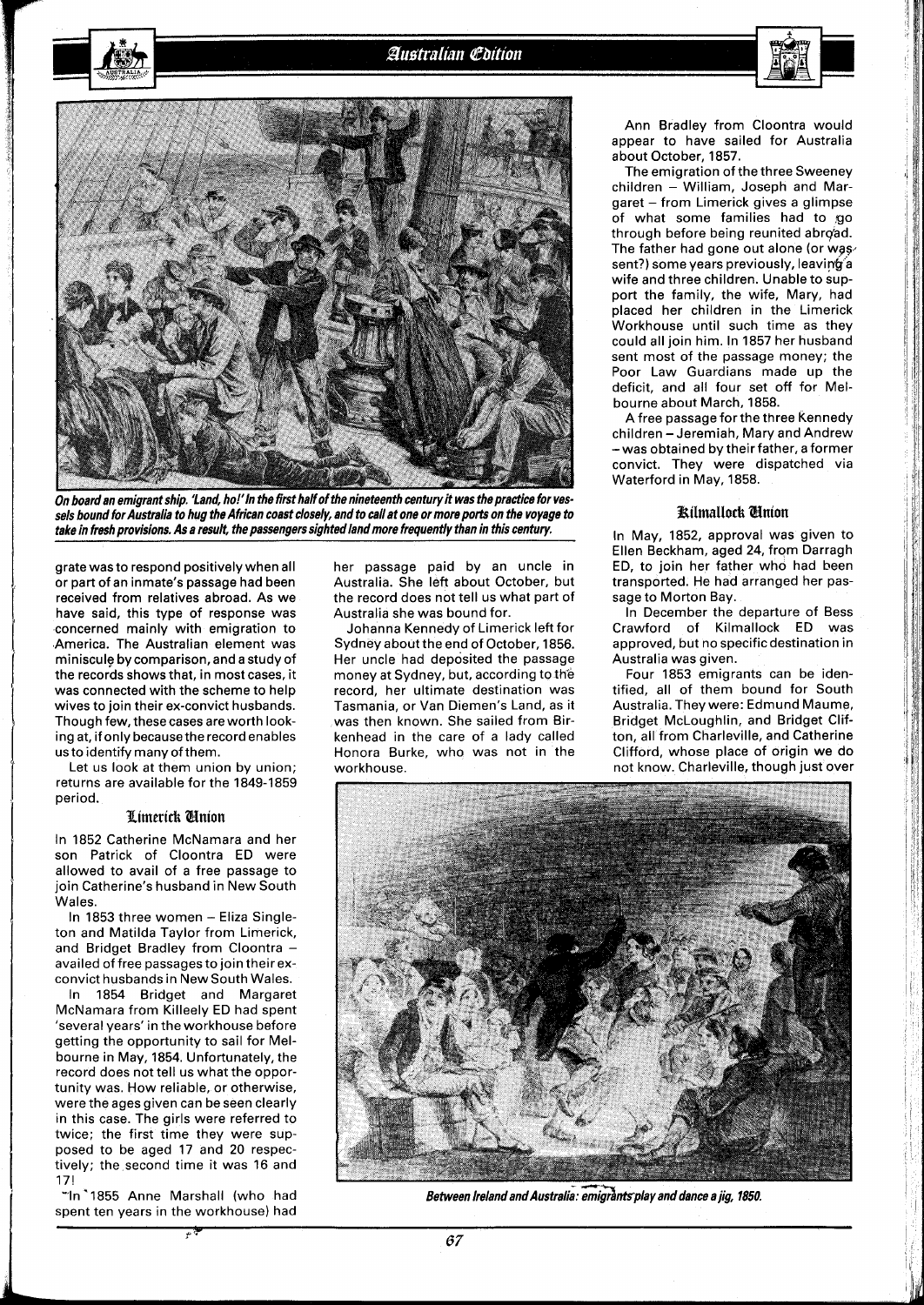

On board an emigrant ship. 'Land, ho!' In the first half of the nineteenth century it was the practice for vessels bound for Australia to hug the African coast closely, and to call at one or more ports on the voyage to take in fresh provisions. As a result, the passengers sighted land more frequently than in this century.

grate was to respond positively when all or part of an inmate's passage had been received from relatives abroad. As we have said, this type of response was concerned mainly with emigration to America. The Australian element was miniscule by comparison, and a study of the records shows that, in most cases, it was connected with the scheme to help wives to join their ex-convict husbands. Though few, these cases are worth looking at, if only because the record enables usto identify many of them.

Let us look at them union by union; returns are available for the 1849-1859 period.

## **Pimerick** Nnion

In 1852 Catherine McNamara and her son Patrick of Cloontra ED were allowed to avail of a free passage to join Catherine's husband in New South Wales.

In 1853 three women - Eliza Singleton and Matilda Taylor from Limerick, and Bridget Bradley from Cloontra availed of free passages to join theirexconvict husbands in New South Wales.

In 1854 Bridget and Margaret McNamara from Killeely ED had spent 'several years' in the workhouse before getting the opportunity to sail for Melbourne in May, 1854. Unfortunately, the record does not tell us what the opportunity was. How reliable, or otherwise, were the ages given can be seen clearly in this case. The girls were referred to twice; the first time they were supposed to be aged 17 and 20 respectively; the second time it was 16 and 17!

"ln"1855 Anne Marshall (who had spent ten years in the workhouse) had

her passage paid by an uncle in Australia. She left about October, but the record does not tell us what part of Australia she was bound for.

Johanna Kennedy of Limerick left for Sydney about the end of October, 1856. Her uncle had deposited the passage money at Sydney, but, according to the record, her ultimate destination was Tasmania, or Van Diemen's Land, as it was then known. She sailed from Birkenhead in the care of a lady called Honora Burke, who was not in the workhouse.

Ann Bradley from Cloontra would appear to have sailed for Australia about October, 1857.

The emigration of the three Sweeney children - William, Joseph and Margaret - from Limerick gives a glimpse of what some families had to go through before being reunited abrg'ad. The father had gone out alone (or was sent?) some years previously, leaving a wife and three children. Unable to support the family, the wife, Mary, had placed her children in the Limerick Workhouse until such time as they could all join him. In 1857 her husband sent most of the passage money; the Poor Law Guardians made up the deficit, and all four set off for Melbourne about March, 1858.

A free passage for the three Kennedy children - Jeremiah, Mary and Andrew -was obtained by their father, aformer convict. They were dispatched via Waterford in May, 1858.

#### **Kilmallock Cinion**

In May, 1852, approval was given to Ellen Beckham, aged 24, from Darragh ED, to join her father who had been transported. He had arranged her passage to Morton Bay.

In December the departure of Bess Crawford of Kilmallock ED was approved, but no specificdestination in Australia was given.

Four 1853 emigrants can be identified, all of them bound for South Australia. They were: Edmund Maume, Bridget McLoughlin, and Bridget Clifton, all from Charleville, and Catherine Clifford, whose place of origin we do not know. Charleville, though just over 

Between Ireland and Australia: emigrants play and dance a jig, 1850.